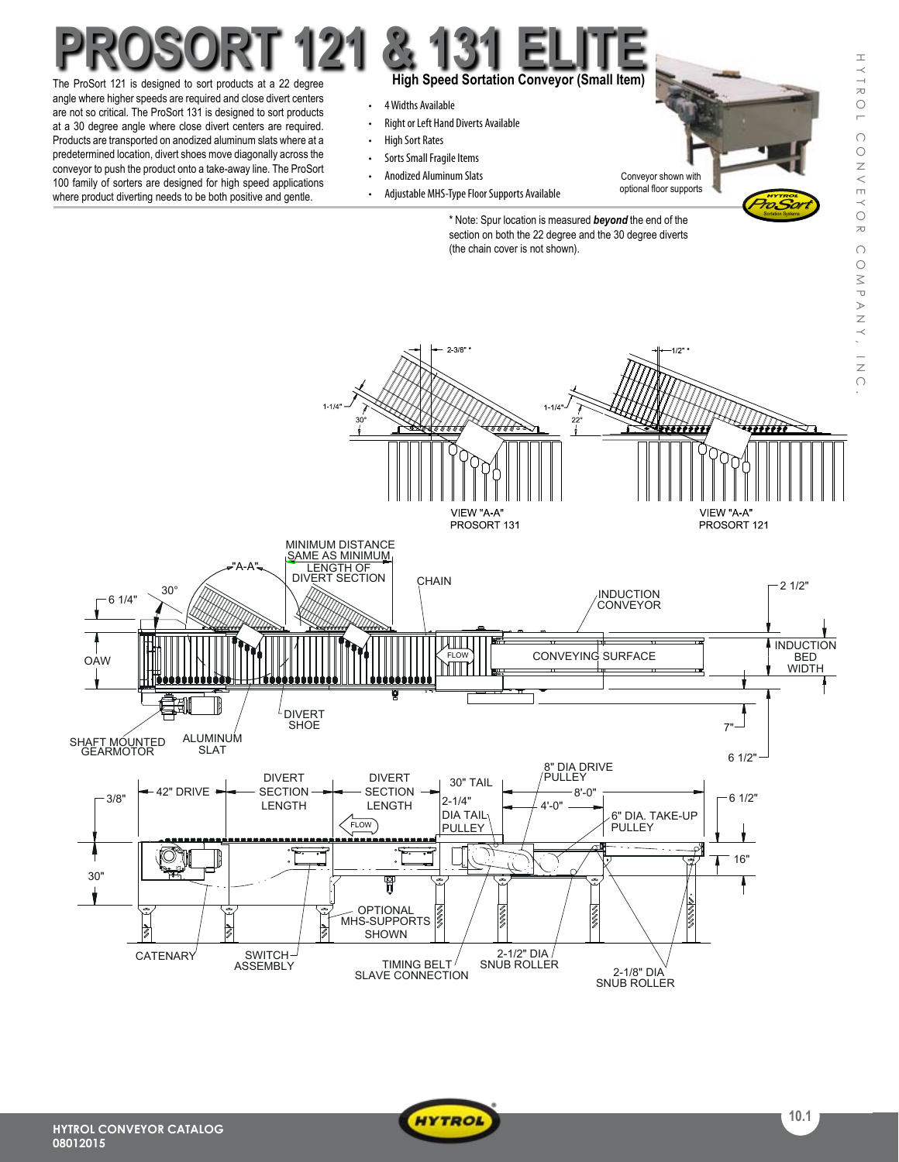ProSort Sortation Systems

## **High Speed Sortation Conveyor (Small Item)** The ProSort 121 is designed to sort products at a 22 degree **ProSort 121 & 131 Elite**

angle where higher speeds are required and close divert centers are not so critical. The ProSort 131 is designed to sort products at a 30 degree angle where close divert centers are required. Products are transported on anodized aluminum slats where at a predetermined location, divert shoes move diagonally across the conveyor to push the product onto a take-away line. The ProSort 100 family of sorters are designed for high speed applications where product diverting needs to be both positive and gentle.

- 4 Widths Available
- Right or Left Hand Diverts Available
- • High Sort Rates
- Sorts Small Fragile Items
- • Anodized Aluminum Slats
- Adjustable MHS-Type Floor Supports Available

Conveyor shown with optional floor supports

\* Note: Spur location is measured *beyond* the end of the section on both the 22 degree and the 30 degree diverts (the chain cover is not shown).